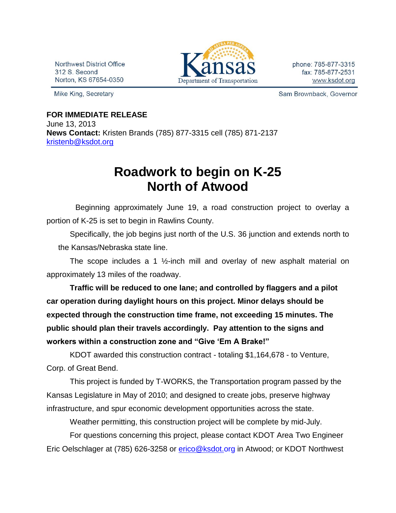Northwest District Office 312 S. Second Norton, KS 67654-0350

Mike King, Secretary



Sam Brownback, Governor

## **FOR IMMEDIATE RELEASE**

June 13, 2013 **News Contact:** Kristen Brands (785) 877-3315 cell (785) 871-2137 [kristenb@ksdot.org](mailto:kristenb@ksdot.org)

## **Roadwork to begin on K-25 North of Atwood**

 Beginning approximately June 19, a road construction project to overlay a portion of K-25 is set to begin in Rawlins County.

 Specifically, the job begins just north of the U.S. 36 junction and extends north to the Kansas/Nebraska state line.

The scope includes a 1 ½-inch mill and overlay of new asphalt material on approximately 13 miles of the roadway.

**Traffic will be reduced to one lane; and controlled by flaggers and a pilot car operation during daylight hours on this project. Minor delays should be expected through the construction time frame, not exceeding 15 minutes. The public should plan their travels accordingly. Pay attention to the signs and workers within a construction zone and "Give 'Em A Brake!"**

KDOT awarded this construction contract - totaling \$1,164,678 - to Venture, Corp. of Great Bend.

This project is funded by T-WORKS, the Transportation program passed by the Kansas Legislature in May of 2010; and designed to create jobs, preserve highway infrastructure, and spur economic development opportunities across the state.

Weather permitting, this construction project will be complete by mid-July.

For questions concerning this project, please contact KDOT Area Two Engineer Eric Oelschlager at (785) 626-3258 or [erico@ksdot.org](mailto:erico@ksdot.org) in Atwood; or KDOT Northwest